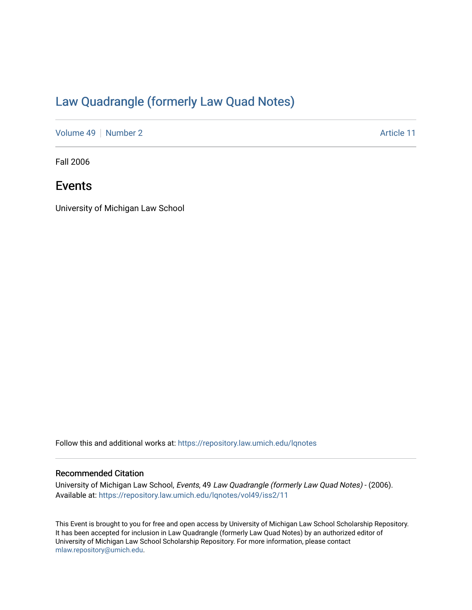## [Law Quadrangle \(formerly Law Quad Notes\)](https://repository.law.umich.edu/lqnotes)

[Volume 49](https://repository.law.umich.edu/lqnotes/vol49) [Number 2](https://repository.law.umich.edu/lqnotes/vol49/iss2) Article 11

Fall 2006

### Events

University of Michigan Law School

Follow this and additional works at: [https://repository.law.umich.edu/lqnotes](https://repository.law.umich.edu/lqnotes?utm_source=repository.law.umich.edu%2Flqnotes%2Fvol49%2Fiss2%2F11&utm_medium=PDF&utm_campaign=PDFCoverPages) 

#### Recommended Citation

University of Michigan Law School, Events, 49 Law Quadrangle (formerly Law Quad Notes) - (2006). Available at: [https://repository.law.umich.edu/lqnotes/vol49/iss2/11](https://repository.law.umich.edu/lqnotes/vol49/iss2/11?utm_source=repository.law.umich.edu%2Flqnotes%2Fvol49%2Fiss2%2F11&utm_medium=PDF&utm_campaign=PDFCoverPages)

This Event is brought to you for free and open access by University of Michigan Law School Scholarship Repository. It has been accepted for inclusion in Law Quadrangle (formerly Law Quad Notes) by an authorized editor of University of Michigan Law School Scholarship Repository. For more information, please contact [mlaw.repository@umich.edu.](mailto:mlaw.repository@umich.edu)